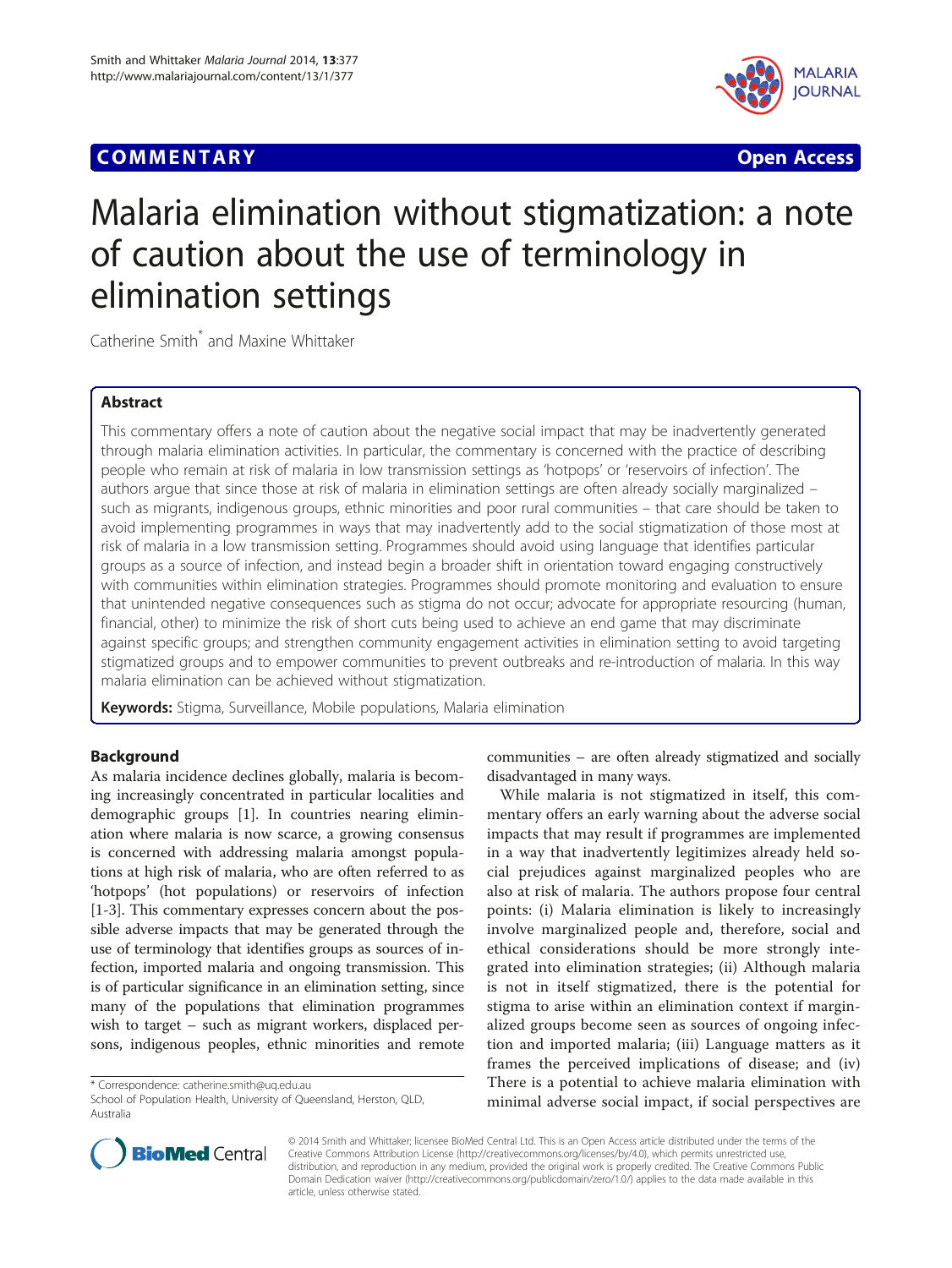# **COMMENTARY COMMENTARY COMMENTARY**



# Malaria elimination without stigmatization: a note of caution about the use of terminology in elimination settings

Catherine Smith\* and Maxine Whittaker

# Abstract

This commentary offers a note of caution about the negative social impact that may be inadvertently generated through malaria elimination activities. In particular, the commentary is concerned with the practice of describing people who remain at risk of malaria in low transmission settings as 'hotpops' or 'reservoirs of infection'. The authors argue that since those at risk of malaria in elimination settings are often already socially marginalized – such as migrants, indigenous groups, ethnic minorities and poor rural communities – that care should be taken to avoid implementing programmes in ways that may inadvertently add to the social stigmatization of those most at risk of malaria in a low transmission setting. Programmes should avoid using language that identifies particular groups as a source of infection, and instead begin a broader shift in orientation toward engaging constructively with communities within elimination strategies. Programmes should promote monitoring and evaluation to ensure that unintended negative consequences such as stigma do not occur; advocate for appropriate resourcing (human, financial, other) to minimize the risk of short cuts being used to achieve an end game that may discriminate against specific groups; and strengthen community engagement activities in elimination setting to avoid targeting stigmatized groups and to empower communities to prevent outbreaks and re-introduction of malaria. In this way malaria elimination can be achieved without stigmatization.

Keywords: Stigma, Surveillance, Mobile populations, Malaria elimination

# Background

As malaria incidence declines globally, malaria is becoming increasingly concentrated in particular localities and demographic groups [[1\]](#page-4-0). In countries nearing elimination where malaria is now scarce, a growing consensus is concerned with addressing malaria amongst populations at high risk of malaria, who are often referred to as 'hotpops' (hot populations) or reservoirs of infection [[1-3\]](#page-4-0). This commentary expresses concern about the possible adverse impacts that may be generated through the use of terminology that identifies groups as sources of infection, imported malaria and ongoing transmission. This is of particular significance in an elimination setting, since many of the populations that elimination programmes wish to target – such as migrant workers, displaced persons, indigenous peoples, ethnic minorities and remote

\* Correspondence: [catherine.smith@uq.edu.au](mailto:catherine.smith@uq.edu.au)



While malaria is not stigmatized in itself, this commentary offers an early warning about the adverse social impacts that may result if programmes are implemented in a way that inadvertently legitimizes already held social prejudices against marginalized peoples who are also at risk of malaria. The authors propose four central points: (i) Malaria elimination is likely to increasingly involve marginalized people and, therefore, social and ethical considerations should be more strongly integrated into elimination strategies; (ii) Although malaria is not in itself stigmatized, there is the potential for stigma to arise within an elimination context if marginalized groups become seen as sources of ongoing infection and imported malaria; (iii) Language matters as it frames the perceived implications of disease; and (iv) There is a potential to achieve malaria elimination with minimal adverse social impact, if social perspectives are



© 2014 Smith and Whittaker; licensee BioMed Central Ltd. This is an Open Access article distributed under the terms of the Creative Commons Attribution License (<http://creativecommons.org/licenses/by/4.0>), which permits unrestricted use, distribution, and reproduction in any medium, provided the original work is properly credited. The Creative Commons Public Domain Dedication waiver [\(http://creativecommons.org/publicdomain/zero/1.0/\)](http://creativecommons.org/publicdomain/zero/1.0/) applies to the data made available in this article, unless otherwise stated.

School of Population Health, University of Queensland, Herston, QLD, Australia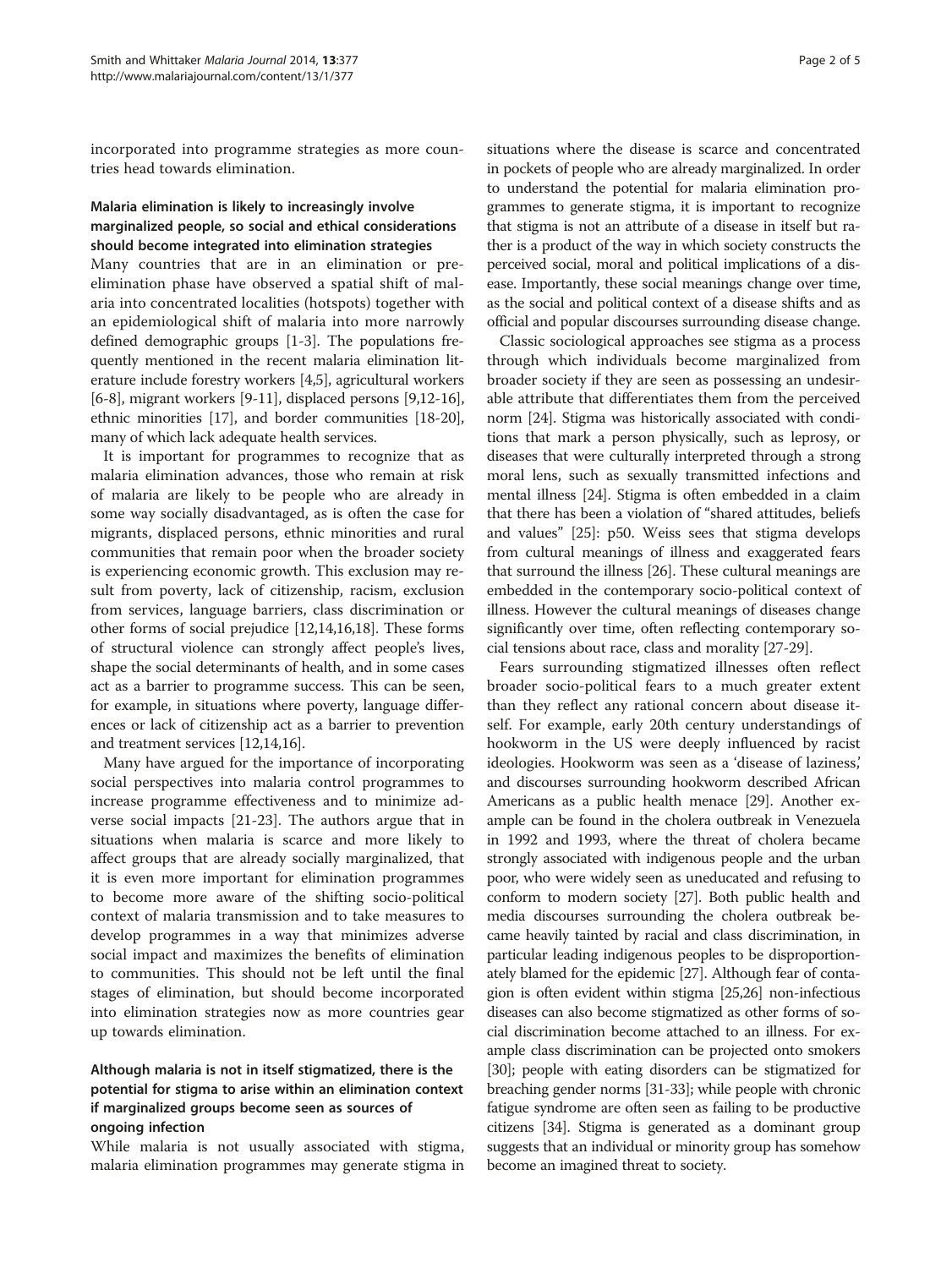incorporated into programme strategies as more countries head towards elimination.

# Malaria elimination is likely to increasingly involve marginalized people, so social and ethical considerations should become integrated into elimination strategies

Many countries that are in an elimination or preelimination phase have observed a spatial shift of malaria into concentrated localities (hotspots) together with an epidemiological shift of malaria into more narrowly defined demographic groups [\[1-3](#page-4-0)]. The populations frequently mentioned in the recent malaria elimination literature include forestry workers [[4](#page-4-0),[5](#page-4-0)], agricultural workers [[6-8\]](#page-4-0), migrant workers [\[9-11](#page-4-0)], displaced persons [[9,12](#page-4-0)-[16](#page-4-0)], ethnic minorities [[17](#page-4-0)], and border communities [[18](#page-4-0)-[20](#page-4-0)], many of which lack adequate health services.

It is important for programmes to recognize that as malaria elimination advances, those who remain at risk of malaria are likely to be people who are already in some way socially disadvantaged, as is often the case for migrants, displaced persons, ethnic minorities and rural communities that remain poor when the broader society is experiencing economic growth. This exclusion may result from poverty, lack of citizenship, racism, exclusion from services, language barriers, class discrimination or other forms of social prejudice [\[12,14](#page-4-0),[16,18\]](#page-4-0). These forms of structural violence can strongly affect people's lives, shape the social determinants of health, and in some cases act as a barrier to programme success. This can be seen, for example, in situations where poverty, language differences or lack of citizenship act as a barrier to prevention and treatment services [[12](#page-4-0),[14,16\]](#page-4-0).

Many have argued for the importance of incorporating social perspectives into malaria control programmes to increase programme effectiveness and to minimize adverse social impacts [[21-23\]](#page-4-0). The authors argue that in situations when malaria is scarce and more likely to affect groups that are already socially marginalized, that it is even more important for elimination programmes to become more aware of the shifting socio-political context of malaria transmission and to take measures to develop programmes in a way that minimizes adverse social impact and maximizes the benefits of elimination to communities. This should not be left until the final stages of elimination, but should become incorporated into elimination strategies now as more countries gear up towards elimination.

# Although malaria is not in itself stigmatized, there is the potential for stigma to arise within an elimination context if marginalized groups become seen as sources of ongoing infection

While malaria is not usually associated with stigma, malaria elimination programmes may generate stigma in

situations where the disease is scarce and concentrated in pockets of people who are already marginalized. In order to understand the potential for malaria elimination programmes to generate stigma, it is important to recognize that stigma is not an attribute of a disease in itself but rather is a product of the way in which society constructs the perceived social, moral and political implications of a disease. Importantly, these social meanings change over time, as the social and political context of a disease shifts and as official and popular discourses surrounding disease change.

Classic sociological approaches see stigma as a process through which individuals become marginalized from broader society if they are seen as possessing an undesirable attribute that differentiates them from the perceived norm [\[24](#page-4-0)]. Stigma was historically associated with conditions that mark a person physically, such as leprosy, or diseases that were culturally interpreted through a strong moral lens, such as sexually transmitted infections and mental illness [\[24](#page-4-0)]. Stigma is often embedded in a claim that there has been a violation of "shared attitudes, beliefs and values" [\[25](#page-4-0)]: p50. Weiss sees that stigma develops from cultural meanings of illness and exaggerated fears that surround the illness [\[26\]](#page-4-0). These cultural meanings are embedded in the contemporary socio-political context of illness. However the cultural meanings of diseases change significantly over time, often reflecting contemporary social tensions about race, class and morality [[27](#page-4-0)-[29](#page-4-0)].

Fears surrounding stigmatized illnesses often reflect broader socio-political fears to a much greater extent than they reflect any rational concern about disease itself. For example, early 20th century understandings of hookworm in the US were deeply influenced by racist ideologies. Hookworm was seen as a 'disease of laziness,' and discourses surrounding hookworm described African Americans as a public health menace [\[29\]](#page-4-0). Another example can be found in the cholera outbreak in Venezuela in 1992 and 1993, where the threat of cholera became strongly associated with indigenous people and the urban poor, who were widely seen as uneducated and refusing to conform to modern society [[27](#page-4-0)]. Both public health and media discourses surrounding the cholera outbreak became heavily tainted by racial and class discrimination, in particular leading indigenous peoples to be disproportionately blamed for the epidemic [\[27\]](#page-4-0). Although fear of contagion is often evident within stigma [\[25,26\]](#page-4-0) non-infectious diseases can also become stigmatized as other forms of social discrimination become attached to an illness. For example class discrimination can be projected onto smokers [[30](#page-4-0)]; people with eating disorders can be stigmatized for breaching gender norms [[31-33\]](#page-4-0); while people with chronic fatigue syndrome are often seen as failing to be productive citizens [\[34\]](#page-4-0). Stigma is generated as a dominant group suggests that an individual or minority group has somehow become an imagined threat to society.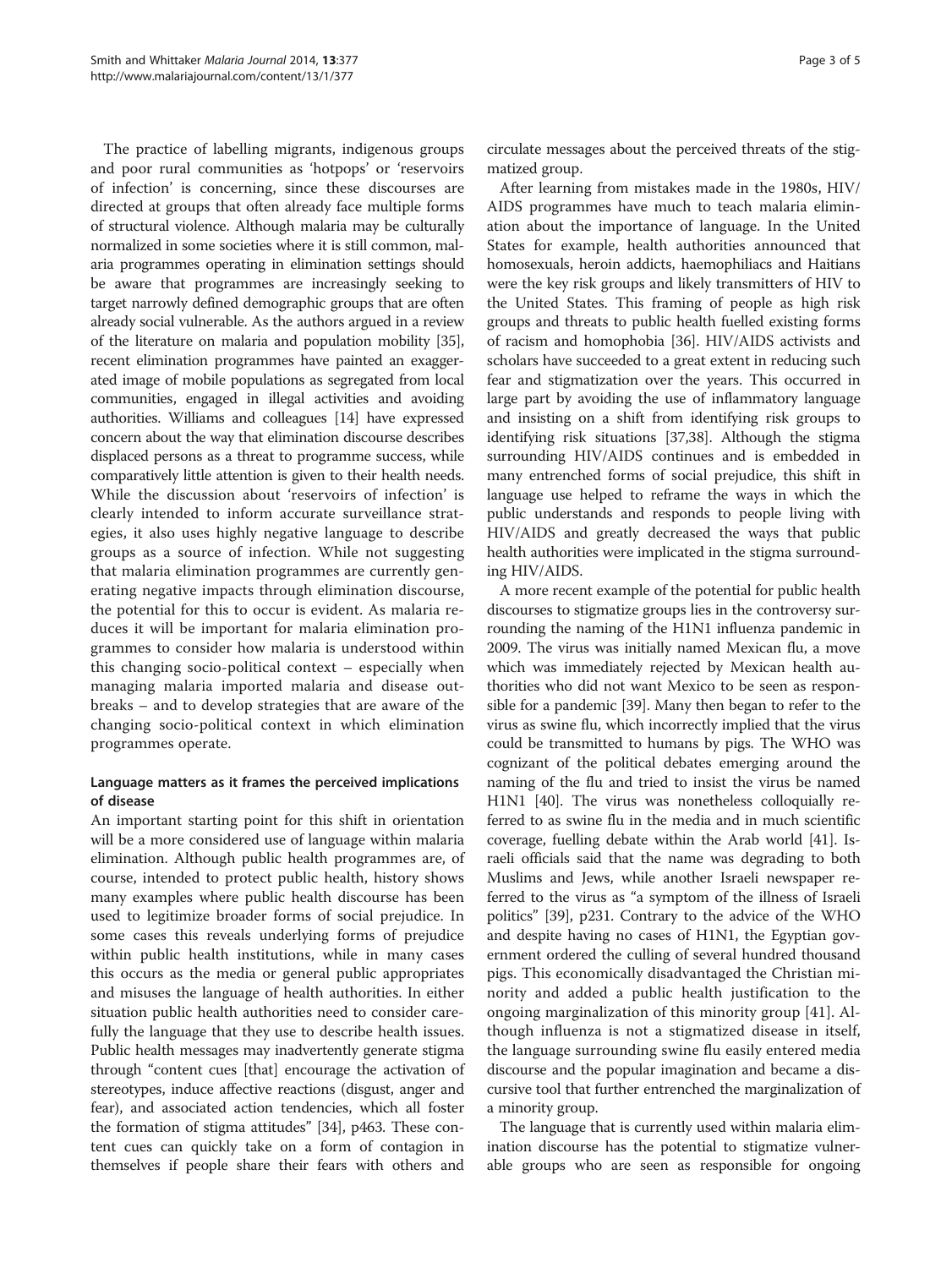The practice of labelling migrants, indigenous groups and poor rural communities as 'hotpops' or 'reservoirs of infection' is concerning, since these discourses are directed at groups that often already face multiple forms of structural violence. Although malaria may be culturally normalized in some societies where it is still common, malaria programmes operating in elimination settings should be aware that programmes are increasingly seeking to target narrowly defined demographic groups that are often already social vulnerable. As the authors argued in a review of the literature on malaria and population mobility [\[35](#page-4-0)], recent elimination programmes have painted an exaggerated image of mobile populations as segregated from local communities, engaged in illegal activities and avoiding authorities. Williams and colleagues [\[14\]](#page-4-0) have expressed concern about the way that elimination discourse describes displaced persons as a threat to programme success, while comparatively little attention is given to their health needs. While the discussion about 'reservoirs of infection' is clearly intended to inform accurate surveillance strategies, it also uses highly negative language to describe groups as a source of infection. While not suggesting that malaria elimination programmes are currently generating negative impacts through elimination discourse, the potential for this to occur is evident. As malaria reduces it will be important for malaria elimination programmes to consider how malaria is understood within this changing socio-political context – especially when managing malaria imported malaria and disease outbreaks – and to develop strategies that are aware of the changing socio-political context in which elimination programmes operate.

# Language matters as it frames the perceived implications of disease

An important starting point for this shift in orientation will be a more considered use of language within malaria elimination. Although public health programmes are, of course, intended to protect public health, history shows many examples where public health discourse has been used to legitimize broader forms of social prejudice. In some cases this reveals underlying forms of prejudice within public health institutions, while in many cases this occurs as the media or general public appropriates and misuses the language of health authorities. In either situation public health authorities need to consider carefully the language that they use to describe health issues. Public health messages may inadvertently generate stigma through "content cues [that] encourage the activation of stereotypes, induce affective reactions (disgust, anger and fear), and associated action tendencies, which all foster the formation of stigma attitudes" [\[34](#page-4-0)], p463. These content cues can quickly take on a form of contagion in themselves if people share their fears with others and

circulate messages about the perceived threats of the stigmatized group.

After learning from mistakes made in the 1980s, HIV/ AIDS programmes have much to teach malaria elimination about the importance of language. In the United States for example, health authorities announced that homosexuals, heroin addicts, haemophiliacs and Haitians were the key risk groups and likely transmitters of HIV to the United States. This framing of people as high risk groups and threats to public health fuelled existing forms of racism and homophobia [[36\]](#page-4-0). HIV/AIDS activists and scholars have succeeded to a great extent in reducing such fear and stigmatization over the years. This occurred in large part by avoiding the use of inflammatory language and insisting on a shift from identifying risk groups to identifying risk situations [\[37,38\]](#page-4-0). Although the stigma surrounding HIV/AIDS continues and is embedded in many entrenched forms of social prejudice, this shift in language use helped to reframe the ways in which the public understands and responds to people living with HIV/AIDS and greatly decreased the ways that public health authorities were implicated in the stigma surrounding HIV/AIDS.

A more recent example of the potential for public health discourses to stigmatize groups lies in the controversy surrounding the naming of the H1N1 influenza pandemic in 2009. The virus was initially named Mexican flu, a move which was immediately rejected by Mexican health authorities who did not want Mexico to be seen as responsible for a pandemic [[39\]](#page-4-0). Many then began to refer to the virus as swine flu, which incorrectly implied that the virus could be transmitted to humans by pigs. The WHO was cognizant of the political debates emerging around the naming of the flu and tried to insist the virus be named H1N1 [[40](#page-4-0)]. The virus was nonetheless colloquially referred to as swine flu in the media and in much scientific coverage, fuelling debate within the Arab world [\[41\]](#page-4-0). Israeli officials said that the name was degrading to both Muslims and Jews, while another Israeli newspaper referred to the virus as "a symptom of the illness of Israeli politics" [[39](#page-4-0)], p231. Contrary to the advice of the WHO and despite having no cases of H1N1, the Egyptian government ordered the culling of several hundred thousand pigs. This economically disadvantaged the Christian minority and added a public health justification to the ongoing marginalization of this minority group [[41\]](#page-4-0). Although influenza is not a stigmatized disease in itself, the language surrounding swine flu easily entered media discourse and the popular imagination and became a discursive tool that further entrenched the marginalization of a minority group.

The language that is currently used within malaria elimination discourse has the potential to stigmatize vulnerable groups who are seen as responsible for ongoing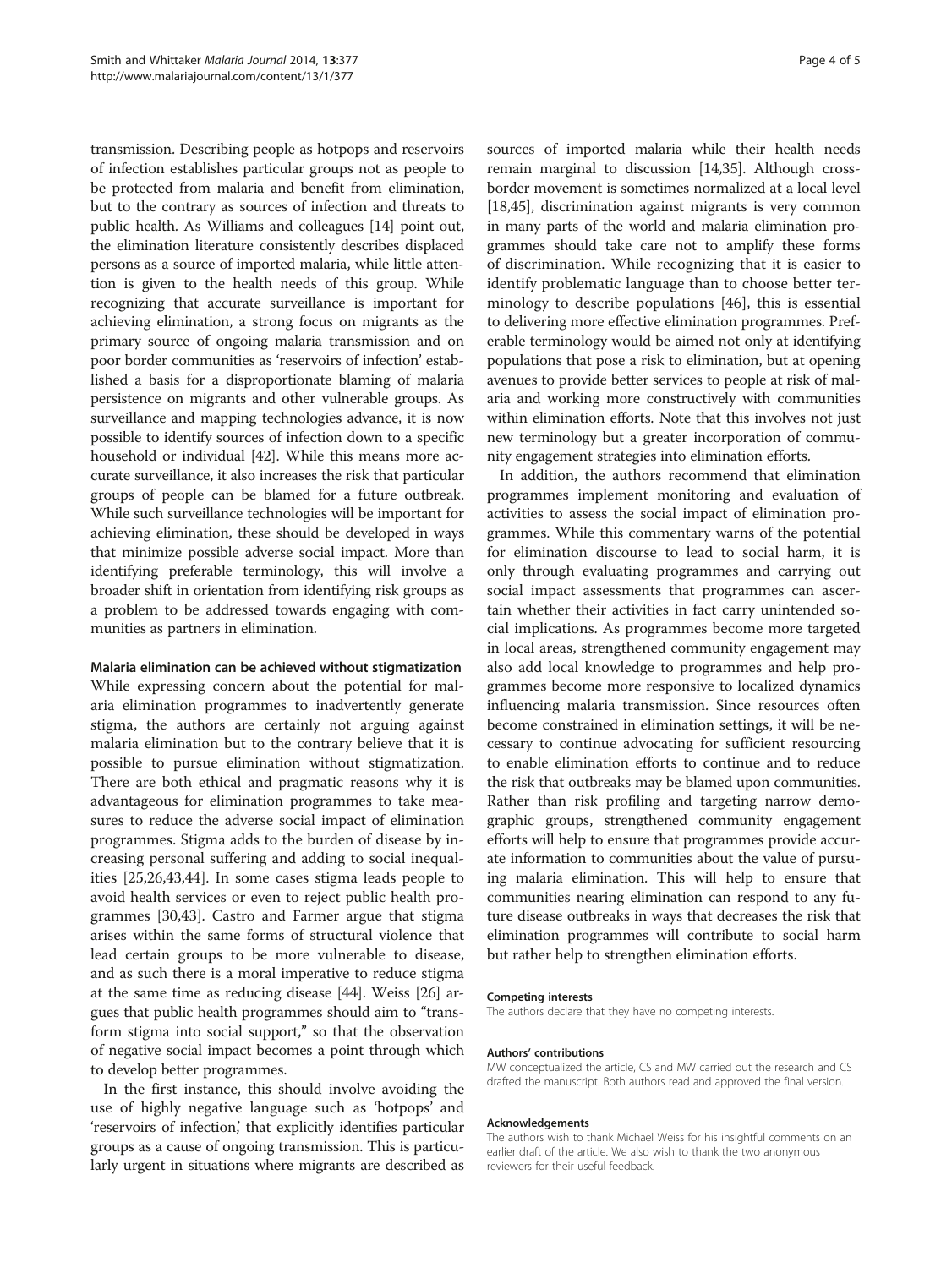transmission. Describing people as hotpops and reservoirs of infection establishes particular groups not as people to be protected from malaria and benefit from elimination, but to the contrary as sources of infection and threats to public health. As Williams and colleagues [\[14\]](#page-4-0) point out, the elimination literature consistently describes displaced persons as a source of imported malaria, while little attention is given to the health needs of this group. While recognizing that accurate surveillance is important for achieving elimination, a strong focus on migrants as the primary source of ongoing malaria transmission and on poor border communities as 'reservoirs of infection' established a basis for a disproportionate blaming of malaria persistence on migrants and other vulnerable groups. As surveillance and mapping technologies advance, it is now possible to identify sources of infection down to a specific household or individual [\[42\]](#page-4-0). While this means more accurate surveillance, it also increases the risk that particular groups of people can be blamed for a future outbreak. While such surveillance technologies will be important for achieving elimination, these should be developed in ways that minimize possible adverse social impact. More than identifying preferable terminology, this will involve a broader shift in orientation from identifying risk groups as a problem to be addressed towards engaging with communities as partners in elimination.

### Malaria elimination can be achieved without stigmatization

While expressing concern about the potential for malaria elimination programmes to inadvertently generate stigma, the authors are certainly not arguing against malaria elimination but to the contrary believe that it is possible to pursue elimination without stigmatization. There are both ethical and pragmatic reasons why it is advantageous for elimination programmes to take measures to reduce the adverse social impact of elimination programmes. Stigma adds to the burden of disease by increasing personal suffering and adding to social inequalities [\[25,26,43,44\]](#page-4-0). In some cases stigma leads people to avoid health services or even to reject public health programmes [\[30,43](#page-4-0)]. Castro and Farmer argue that stigma arises within the same forms of structural violence that lead certain groups to be more vulnerable to disease, and as such there is a moral imperative to reduce stigma at the same time as reducing disease [\[44\]](#page-4-0). Weiss [\[26\]](#page-4-0) argues that public health programmes should aim to "transform stigma into social support," so that the observation of negative social impact becomes a point through which to develop better programmes.

In the first instance, this should involve avoiding the use of highly negative language such as 'hotpops' and 'reservoirs of infection,' that explicitly identifies particular groups as a cause of ongoing transmission. This is particularly urgent in situations where migrants are described as

sources of imported malaria while their health needs remain marginal to discussion [\[14,35\]](#page-4-0). Although crossborder movement is sometimes normalized at a local level [[18](#page-4-0),[45](#page-4-0)], discrimination against migrants is very common in many parts of the world and malaria elimination programmes should take care not to amplify these forms of discrimination. While recognizing that it is easier to identify problematic language than to choose better terminology to describe populations [\[46](#page-4-0)], this is essential to delivering more effective elimination programmes. Preferable terminology would be aimed not only at identifying populations that pose a risk to elimination, but at opening avenues to provide better services to people at risk of malaria and working more constructively with communities within elimination efforts. Note that this involves not just new terminology but a greater incorporation of community engagement strategies into elimination efforts.

In addition, the authors recommend that elimination programmes implement monitoring and evaluation of activities to assess the social impact of elimination programmes. While this commentary warns of the potential for elimination discourse to lead to social harm, it is only through evaluating programmes and carrying out social impact assessments that programmes can ascertain whether their activities in fact carry unintended social implications. As programmes become more targeted in local areas, strengthened community engagement may also add local knowledge to programmes and help programmes become more responsive to localized dynamics influencing malaria transmission. Since resources often become constrained in elimination settings, it will be necessary to continue advocating for sufficient resourcing to enable elimination efforts to continue and to reduce the risk that outbreaks may be blamed upon communities. Rather than risk profiling and targeting narrow demographic groups, strengthened community engagement efforts will help to ensure that programmes provide accurate information to communities about the value of pursuing malaria elimination. This will help to ensure that communities nearing elimination can respond to any future disease outbreaks in ways that decreases the risk that elimination programmes will contribute to social harm but rather help to strengthen elimination efforts.

#### Competing interests

The authors declare that they have no competing interests.

#### Authors' contributions

MW conceptualized the article, CS and MW carried out the research and CS drafted the manuscript. Both authors read and approved the final version.

#### Acknowledgements

The authors wish to thank Michael Weiss for his insightful comments on an earlier draft of the article. We also wish to thank the two anonymous reviewers for their useful feedback.